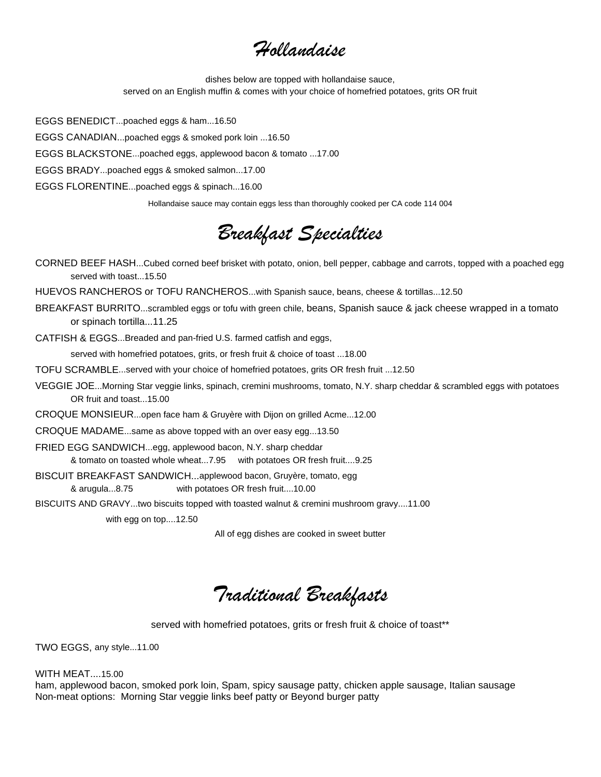*Hollandaise*

dishes below are topped with hollandaise sauce,

served on an English muffin & comes with your choice of homefried potatoes, grits OR fruit

EGGS BENEDICT...poached eggs & ham...16.50

EGGS CANADIAN...poached eggs & smoked pork loin ...16.50

EGGS BLACKSTONE...poached eggs, applewood bacon & tomato ...17.00

EGGS BRADY...poached eggs & smoked salmon...17.00

EGGS FLORENTINE...poached eggs & spinach...16.00

Hollandaise sauce may contain eggs less than thoroughly cooked per CA code 114 004

*Breakfast Specialties*

CORNED BEEF HASH...Cubed corned beef brisket with potato, onion, bell pepper, cabbage and carrots, topped with a poached egg served with toast...15.50

HUEVOS RANCHEROS or TOFU RANCHEROS...with Spanish sauce, beans, cheese & tortillas...12.50

BREAKFAST BURRITO...scrambled eggs or tofu with green chile, beans, Spanish sauce & jack cheese wrapped in a tomato or spinach tortilla...11.25

CATFISH & EGGS...Breaded and pan-fried U.S. farmed catfish and eggs,

served with homefried potatoes, grits, or fresh fruit & choice of toast ...18.00

TOFU SCRAMBLE...served with your choice of homefried potatoes, grits OR fresh fruit ...12.50

VEGGIE JOE...Morning Star veggie links, spinach, cremini mushrooms, tomato, N.Y. sharp cheddar & scrambled eggs with potatoes OR fruit and toast...15.00

CROQUE MONSIEUR...open face ham & Gruyère with Dijon on grilled Acme...12.00

CROQUE MADAME...same as above topped with an over easy egg...13.50

FRIED EGG SANDWICH...egg, applewood bacon, N.Y. sharp cheddar

& tomato on toasted whole wheat...7.95 with potatoes OR fresh fruit....9.25

BISCUIT BREAKFAST SANDWICH...applewood bacon, Gruyère, tomato, egg

& arugula...8.75 with potatoes OR fresh fruit....10.00

BISCUITS AND GRAVY...two biscuits topped with toasted walnut & cremini mushroom gravy....11.00

with egg on top....12.50

All of egg dishes are cooked in sweet butter

*Traditional Breakfasts*

served with homefried potatoes, grits or fresh fruit & choice of toast\*\*

TWO EGGS, any style...11.00

#### WITH MEAT....15.00

ham, applewood bacon, smoked pork loin, Spam, spicy sausage patty, chicken apple sausage, Italian sausage Non-meat options: Morning Star veggie links beef patty or Beyond burger patty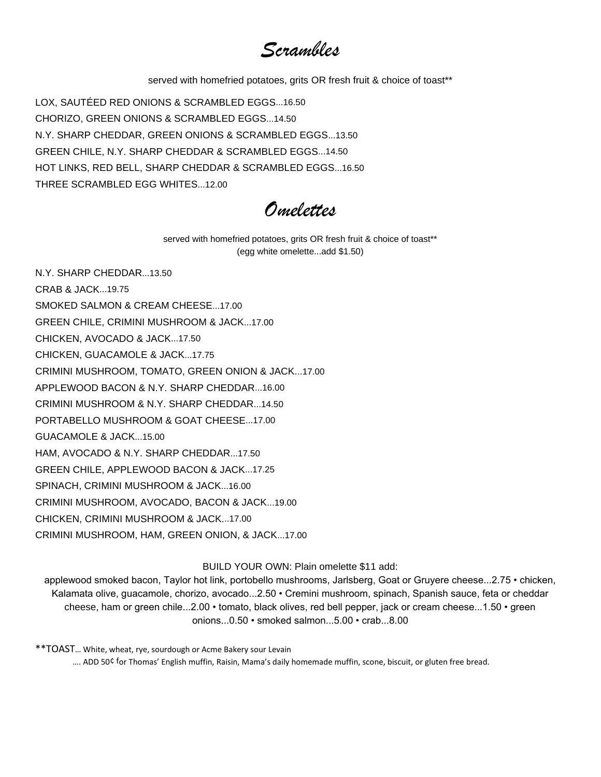*Scrambles*

served with homefried potatoes, grits OR fresh fruit & choice of toast\*\*

LOX, SAUTÉED RED ONIONS & SCRAMBLED EGGS...16.50 CHORIZO, GREEN ONIONS & SCRAMBLED EGGS...14.50 N.Y. SHARP CHEDDAR, GREEN ONIONS & SCRAMBLED EGGS...13.50 GREEN CHILE, N.Y. SHARP CHEDDAR & SCRAMBLED EGGS...14.50 HOT LINKS, RED BELL, SHARP CHEDDAR & SCRAMBLED EGGS...16.50 THREE SCRAMBLED EGG WHITES...12.00

*Omelettes*

served with homefried potatoes, grits OR fresh fruit & choice of toast\*\* (egg white omelette...add \$1.50)

N.Y. SHARP CHEDDAR...13.50 CRAB & JACK...19.75 SMOKED SALMON & CREAM CHEESE...17.00 GREEN CHILE, CRIMINI MUSHROOM & JACK...17.00 CHICKEN, AVOCADO & JACK...17.50 CHICKEN, GUACAMOLE & JACK...17.75 CRIMINI MUSHROOM, TOMATO, GREEN ONION & JACK...17.00 APPLEWOOD BACON & N.Y. SHARP CHEDDAR...16.00 CRIMINI MUSHROOM & N.Y. SHARP CHEDDAR...14.50 PORTABELLO MUSHROOM & GOAT CHEESE...17.00 GUACAMOLE & JACK...15.00 HAM, AVOCADO & N.Y. SHARP CHEDDAR...17.50 GREEN CHILE, APPLEWOOD BACON & JACK...17.25 SPINACH, CRIMINI MUSHROOM & JACK...16.00 CRIMINI MUSHROOM, AVOCADO, BACON & JACK...19.00 CHICKEN, CRIMINI MUSHROOM & JACK...17.00 CRIMINI MUSHROOM, HAM, GREEN ONION, & JACK...17.00

BUILD YOUR OWN: Plain omelette \$11 add:

applewood smoked bacon, Taylor hot link, portobello mushrooms, Jarlsberg, Goat or Gruyere cheese...2.75 • chicken, Kalamata olive, guacamole, chorizo, avocado...2.50 • Cremini mushroom, spinach, Spanish sauce, feta or cheddar cheese, ham or green chile...2.00 • tomato, black olives, red bell pepper, jack or cream cheese...1.50 • green onions...0.50 • smoked salmon...5.00 • crab...8.00

\*\*TOAST… White, wheat, rye, sourdough or Acme Bakery sour Levain …. ADD 50¢ for Thomas' English muffin, Raisin, Mama's daily homemade muffin, scone, biscuit, or gluten free bread.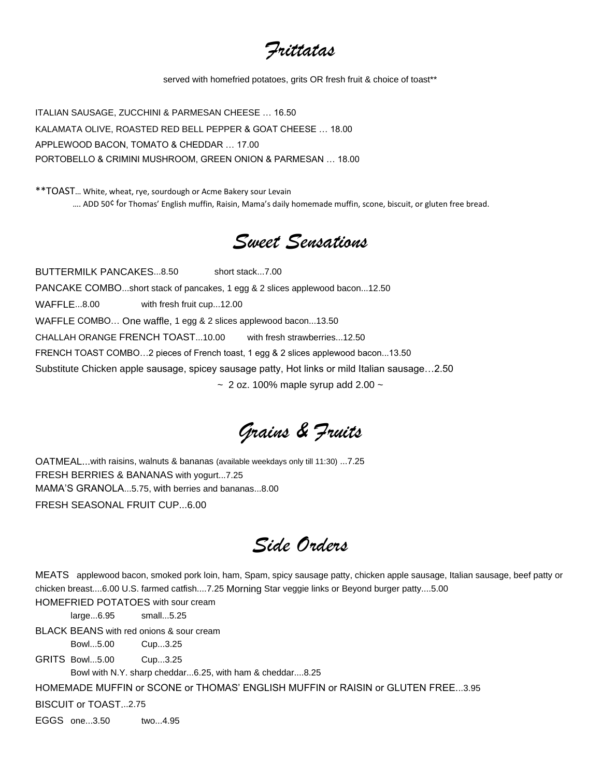*Frittatas*

served with homefried potatoes, grits OR fresh fruit & choice of toast\*\*

ITALIAN SAUSAGE, ZUCCHINI & PARMESAN CHEESE … 16.50 KALAMATA OLIVE, ROASTED RED BELL PEPPER & GOAT CHEESE … 18.00 APPLEWOOD BACON, TOMATO & CHEDDAR … 17.00 PORTOBELLO & CRIMINI MUSHROOM, GREEN ONION & PARMESAN … 18.00

\*\*TOAST… White, wheat, rye, sourdough or Acme Bakery sour Levain …. ADD 50¢ for Thomas' English muffin, Raisin, Mama's daily homemade muffin, scone, biscuit, or gluten free bread.

## *Sweet Sensations*

BUTTERMILK PANCAKES...8.50 short stack...7.00 PANCAKE COMBO...short stack of pancakes, 1 egg & 2 slices applewood bacon...12.50 WAFFLE...8.00 with fresh fruit cup...12.00 WAFFLE COMBO… One waffle, 1 egg & 2 slices applewood bacon...13.50 CHALLAH ORANGE FRENCH TOAST...10.00 with fresh strawberries...12.50 FRENCH TOAST COMBO…2 pieces of French toast, 1 egg & 2 slices applewood bacon...13.50 Substitute Chicken apple sausage, spicey sausage patty, Hot links or mild Italian sausage…2.50  $\sim$  2 oz. 100% maple syrup add 2.00  $\sim$ 

*Grains & Fruits*

OATMEAL...with raisins, walnuts & bananas (available weekdays only till 11:30) ...7.25 FRESH BERRIES & BANANAS with yogurt...7.25 MAMA'S GRANOLA...5.75, with berries and bananas...8.00 FRESH SEASONAL FRUIT CUP...6.00

*Side Orders*

MEATS applewood bacon, smoked pork loin, ham, Spam, spicy sausage patty, chicken apple sausage, Italian sausage, beef patty or chicken breast....6.00 U.S. farmed catfish....7.25 Morning Star veggie links or Beyond burger patty....5.00

HOMEFRIED POTATOES with sour cream

large...6.95 small...5.25

BLACK BEANS with red onions & sour cream Bowl...5.00 Cup...3.25

GRITS Bowl...5.00 Cup...3.25

Bowl with N.Y. sharp cheddar...6.25, with ham & cheddar....8.25

HOMEMADE MUFFIN or SCONE or THOMAS' ENGLISH MUFFIN or RAISIN or GLUTEN FREE...3.95

BISCUIT or TOAST...2.75

EGGS one...3.50 two...4.95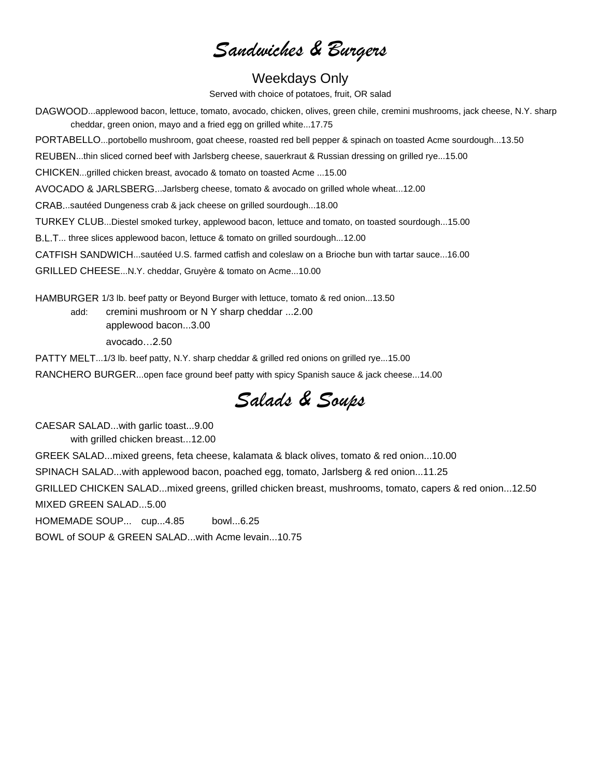# *Sandwiches & Burgers*

### Weekdays Only

Served with choice of potatoes, fruit, OR salad

DAGWOOD...applewood bacon, lettuce, tomato, avocado, chicken, olives, green chile, cremini mushrooms, jack cheese, N.Y. sharp cheddar, green onion, mayo and a fried egg on grilled white...17.75

PORTABELLO...portobello mushroom, goat cheese, roasted red bell pepper & spinach on toasted Acme sourdough...13.50

REUBEN...thin sliced corned beef with Jarlsberg cheese, sauerkraut & Russian dressing on grilled rye...15.00

CHICKEN...grilled chicken breast, avocado & tomato on toasted Acme ...15.00

AVOCADO & JARLSBERG...Jarlsberg cheese, tomato & avocado on grilled whole wheat...12.00

CRAB...sautéed Dungeness crab & jack cheese on grilled sourdough...18.00

TURKEY CLUB...Diestel smoked turkey, applewood bacon, lettuce and tomato, on toasted sourdough...15.00

B.L.T... three slices applewood bacon, lettuce & tomato on grilled sourdough...12.00

CATFISH SANDWICH...sautéed U.S. farmed catfish and coleslaw on a Brioche bun with tartar sauce...16.00

GRILLED CHEESE...N.Y. cheddar, Gruyère & tomato on Acme...10.00

HAMBURGER 1/3 lb. beef patty or Beyond Burger with lettuce, tomato & red onion...13.50

add: cremini mushroom or N Y sharp cheddar ...2.00 applewood bacon...3.00

avocado…2.50

PATTY MELT...1/3 lb. beef patty, N.Y. sharp cheddar & grilled red onions on grilled rye...15.00

RANCHERO BURGER...open face ground beef patty with spicy Spanish sauce & jack cheese...14.00

# *Salads & Soups*

CAESAR SALAD...with garlic toast...9.00 with grilled chicken breast...12.00

GREEK SALAD...mixed greens, feta cheese, kalamata & black olives, tomato & red onion...10.00 SPINACH SALAD...with applewood bacon, poached egg, tomato, Jarlsberg & red onion...11.25 GRILLED CHICKEN SALAD...mixed greens, grilled chicken breast, mushrooms, tomato, capers & red onion...12.50 MIXED GREEN SALAD...5.00 HOMEMADE SOUP... cup...4.85 bowl...6.25 BOWL of SOUP & GREEN SALAD...with Acme levain...10.75